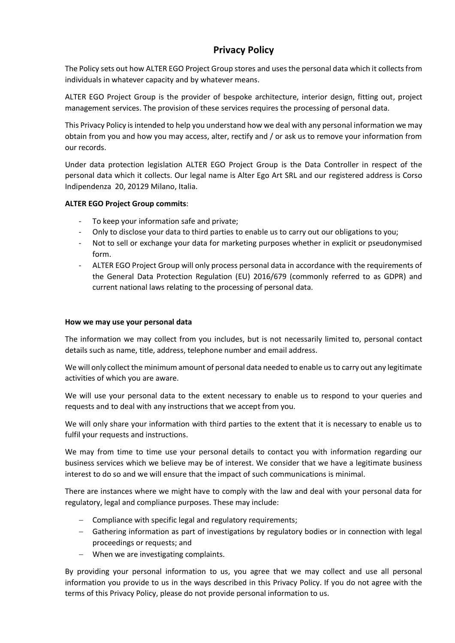# **Privacy Policy**

The Policy sets out how ALTER EGO Project Group stores and uses the personal data which it collects from individuals in whatever capacity and by whatever means.

ALTER EGO Project Group is the provider of bespoke architecture, interior design, fitting out, project management services. The provision of these services requires the processing of personal data.

This Privacy Policy is intended to help you understand how we deal with any personal information we may obtain from you and how you may access, alter, rectify and / or ask us to remove your information from our records.

Under data protection legislation ALTER EGO Project Group is the Data Controller in respect of the personal data which it collects. Our legal name is Alter Ego Art SRL and our registered address is Corso Indipendenza 20, 20129 Milano, Italia.

## **ALTER EGO Project Group commits**:

- To keep your information safe and private;
- Only to disclose your data to third parties to enable us to carry out our obligations to you;
- Not to sell or exchange your data for marketing purposes whether in explicit or pseudonymised form.
- ALTER EGO Project Group will only process personal data in accordance with the requirements of the General Data Protection Regulation (EU) 2016/679 (commonly referred to as GDPR) and current national laws relating to the processing of personal data.

#### **How we may use your personal data**

The information we may collect from you includes, but is not necessarily limited to, personal contact details such as name, title, address, telephone number and email address.

We will only collect the minimum amount of personal data needed to enable us to carry out any legitimate activities of which you are aware.

We will use your personal data to the extent necessary to enable us to respond to your queries and requests and to deal with any instructions that we accept from you.

We will only share your information with third parties to the extent that it is necessary to enable us to fulfil your requests and instructions.

We may from time to time use your personal details to contact you with information regarding our business services which we believe may be of interest. We consider that we have a legitimate business interest to do so and we will ensure that the impact of such communications is minimal.

There are instances where we might have to comply with the law and deal with your personal data for regulatory, legal and compliance purposes. These may include:

- − Compliance with specific legal and regulatory requirements;
- − Gathering information as part of investigations by regulatory bodies or in connection with legal proceedings or requests; and
- − When we are investigating complaints.

By providing your personal information to us, you agree that we may collect and use all personal information you provide to us in the ways described in this Privacy Policy. If you do not agree with the terms of this Privacy Policy, please do not provide personal information to us.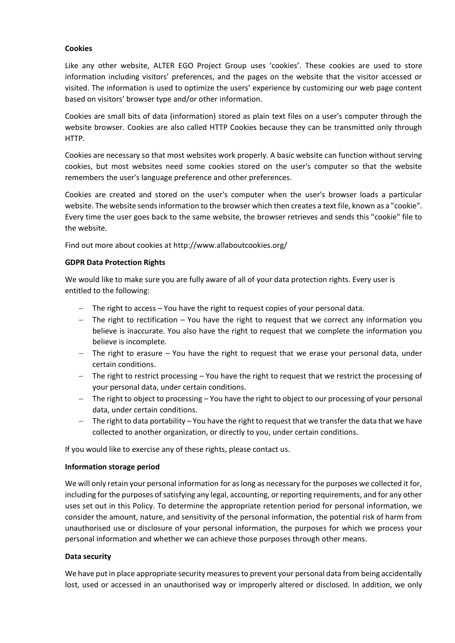## **Cookies**

Like any other website, ALTER EGO Project Group uses 'cookies'. These cookies are used to store information including visitors' preferences, and the pages on the website that the visitor accessed or visited. The information is used to optimize the users' experience by customizing our web page content based on visitors' browser type and/or other information.

Cookies are small bits of data (information) stored as plain text files on a user's computer through the website browser. Cookies are also called HTTP Cookies because they can be transmitted only through HTTP.

Cookies are necessary so that most websites work properly. A basic website can function without serving cookies, but most websites need some cookies stored on the user's computer so that the website remembers the user's language preference and other preferences.

Cookies are created and stored on the user's computer when the user's browser loads a particular website. The website sends information to the browser which then creates a text file, known as a "cookie". Every time the user goes back to the same website, the browser retrieves and sends this "cookie" file to the website.

Find out more about cookies at <http://www.allaboutcookies.org/>

## **GDPR Data Protection Rights**

We would like to make sure you are fully aware of all of your data protection rights. Every user is entitled to the following:

- − The right to access You have the right to request copies of your personal data.
- − The right to rectification You have the right to request that we correct any information you believe is inaccurate. You also have the right to request that we complete the information you believe is incomplete.
- − The right to erasure You have the right to request that we erase your personal data, under certain conditions.
- − The right to restrict processing You have the right to request that we restrict the processing of your personal data, under certain conditions.
- − The right to object to processing You have the right to object to our processing of your personal data, under certain conditions.
- − The right to data portability You have the right to request that we transfer the data that we have collected to another organization, or directly to you, under certain conditions.

If you would like to exercise any of these rights, please contact us.

#### **Information storage period**

We will only retain your personal information for as long as necessary for the purposes we collected it for, including for the purposes of satisfying any legal, accounting, or reporting requirements, and for any other uses set out in this Policy. To determine the appropriate retention period for personal information, we consider the amount, nature, and sensitivity of the personal information, the potential risk of harm from unauthorised use or disclosure of your personal information, the purposes for which we process your personal information and whether we can achieve those purposes through other means.

#### **Data security**

We have put in place appropriate security measures to prevent your personal data from being accidentally lost, used or accessed in an unauthorised way or improperly altered or disclosed. In addition, we only